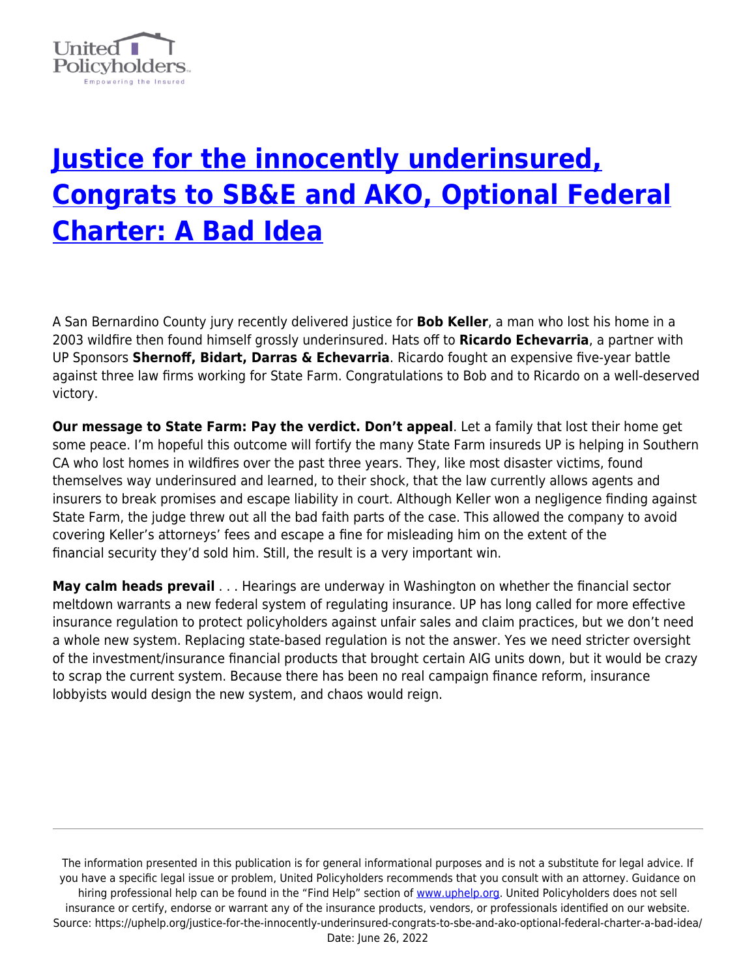

## **[Justice for the innocently underinsured,](https://uphelp.org/justice-for-the-innocently-underinsured-congrats-to-sbe-and-ako-optional-federal-charter-a-bad-idea/) [Congrats to SB&E and AKO, Optional Federal](https://uphelp.org/justice-for-the-innocently-underinsured-congrats-to-sbe-and-ako-optional-federal-charter-a-bad-idea/) [Charter: A Bad Idea](https://uphelp.org/justice-for-the-innocently-underinsured-congrats-to-sbe-and-ako-optional-federal-charter-a-bad-idea/)**

A San Bernardino County jury recently delivered justice for **Bob Keller**, a man who lost his home in a 2003 wildfire then found himself grossly underinsured. Hats off to **Ricardo Echevarria**, a partner with UP Sponsors **Shernoff, Bidart, Darras & Echevarria**. Ricardo fought an expensive five-year battle against three law firms working for State Farm. Congratulations to Bob and to Ricardo on a well-deserved victory.

**Our message to State Farm: Pay the verdict. Don't appeal**. Let a family that lost their home get some peace. I'm hopeful this outcome will fortify the many State Farm insureds UP is helping in Southern CA who lost homes in wildfires over the past three years. They, like most disaster victims, found themselves way underinsured and learned, to their shock, that the law currently allows agents and insurers to break promises and escape liability in court. Although Keller won a negligence finding against State Farm, the judge threw out all the bad faith parts of the case. This allowed the company to avoid covering Keller's attorneys' fees and escape a fine for misleading him on the extent of the financial security they'd sold him. Still, the result is a very important win.

**May calm heads prevail** . . . Hearings are underway in Washington on whether the financial sector meltdown warrants a new federal system of regulating insurance. UP has long called for more effective insurance regulation to protect policyholders against unfair sales and claim practices, but we don't need a whole new system. Replacing state-based regulation is not the answer. Yes we need stricter oversight of the investment/insurance financial products that brought certain AIG units down, but it would be crazy to scrap the current system. Because there has been no real campaign finance reform, insurance lobbyists would design the new system, and chaos would reign.

The information presented in this publication is for general informational purposes and is not a substitute for legal advice. If you have a specific legal issue or problem, United Policyholders recommends that you consult with an attorney. Guidance on hiring professional help can be found in the "Find Help" section of [www.uphelp.org.](http://www.uphelp.org/) United Policyholders does not sell insurance or certify, endorse or warrant any of the insurance products, vendors, or professionals identified on our website. Source: https://uphelp.org/justice-for-the-innocently-underinsured-congrats-to-sbe-and-ako-optional-federal-charter-a-bad-idea/ Date: June 26, 2022